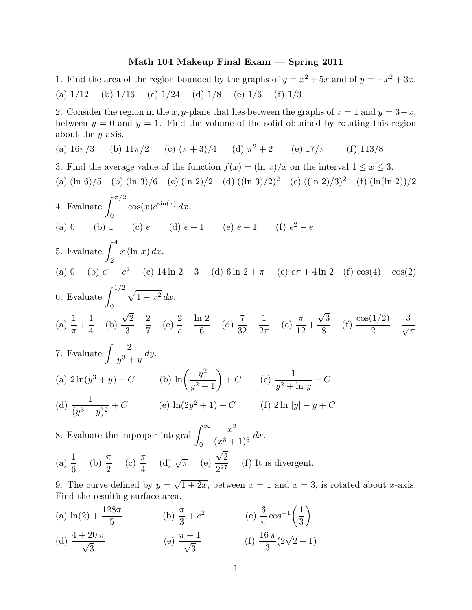## Math 104 Makeup Final Exam — Spring 2011

1. Find the area of the region bounded by the graphs of  $y = x^2 + 5x$  and of  $y = -x^2 + 3x$ . (a)  $1/12$  (b)  $1/16$  (c)  $1/24$  (d)  $1/8$  (e)  $1/6$  (f)  $1/3$ 

2. Consider the region in the x, y-plane that lies between the graphs of  $x = 1$  and  $y = 3-x$ , between  $y = 0$  and  $y = 1$ . Find the volume of the solid obtained by rotating this region about the  $y$ -axis.

(a) 
$$
16\pi/3
$$
 (b)  $11\pi/2$  (c)  $(\pi + 3)/4$  (d)  $\pi^2 + 2$  (e)  $17/\pi$  (f)  $113/8$ 

3. Find the average value of the function 
$$
f(x) = (\ln x)/x
$$
 on the interval  $1 \le x \le 3$ .  
\n(a)  $(\ln 6)/5$  (b)  $(\ln 3)/6$  (c)  $(\ln 2)/2$  (d)  $((\ln 3)/2)^2$  (e)  $((\ln 2)/3)^2$  (f)  $(\ln(\ln 2))/2$   
\n4. Evaluate  $\int_0^{\pi/2} \cos(x)e^{\sin(x)} dx$ .  
\n(a) 0 (b) 1 (c) e (d)  $e + 1$  (e)  $e - 1$  (f)  $e^2 - e$   
\n5. Evaluate  $\int_2^4 x (\ln x) dx$ .  
\n(a) 0 (b)  $e^4 - e^2$  (c)  $14 \ln 2 - 3$  (d)  $6 \ln 2 + \pi$  (e)  $e\pi + 4 \ln 2$  (f)  $\cos(4) - \cos(2)$   
\n6. Evaluate  $\int_0^{1/2} \sqrt{1-x^2} dx$ .  
\n(a)  $\frac{1}{\pi} + \frac{1}{4}$  (b)  $\frac{\sqrt{2}}{3} + \frac{2}{7}$  (c)  $\frac{2}{e} + \frac{\ln 2}{6}$  (d)  $\frac{7}{32} - \frac{1}{2\pi}$  (e)  $\frac{\pi}{12} + \frac{\sqrt{3}}{8}$  (f)  $\frac{\cos(1/2)}{2} - \frac{3}{\sqrt{\pi}}$   
\n7. Evaluate  $\int \frac{2}{y^3 + y} dy$ .  
\n(a)  $2 \ln(y^3 + y) + C$  (b)  $\ln\left(\frac{y^2}{y^2 + 1}\right) + C$  (c)  $\frac{1}{y^2 + \ln y} + C$   
\n(d)  $\frac{1}{(y^3 + y)^2} + C$  (e)  $\ln(2y^2 + 1) + C$  (f)  $2 \ln |y| - y + C$   
\n8. Evaluate the improper integral  $\int_0^\infty \frac{x^2}{(x^3 + 1)^3} dx$ .  
\n(a)  $\frac{1}{6}$  (b)  $\frac{\pi}{2}$  (c)

9. The curve defined by  $y = \sqrt{1+2x}$ , between  $x = 1$  and  $x = 3$ , is rotated about x-axis. Find the resulting surface area.

(a)  $\ln(2) + \frac{128\pi}{5}$ 5 (b)  $\frac{\pi}{2}$ 3  $+ e^2$  (c)  $\frac{6}{-}$ π  $\cos^{-1}\left(\frac{1}{2}\right)$ 3  $\setminus$ (d)  $\frac{4+20\pi}{\sqrt{3}}$ (e)  $\frac{\pi + 1}{\sqrt{3}}$ (f)  $\frac{16 \pi}{2}$ 3  $(2\sqrt{2}-1)$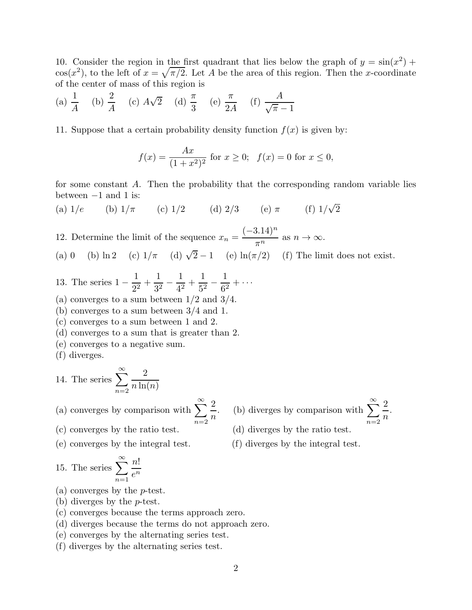10. Consider the region in the first quadrant that lies below the graph of  $y = sin(x^2) +$  $\cos(x^2)$ , to the left of  $x = \sqrt{\pi/2}$ . Let A be the area of this region. Then the x-coordinate of the center of mass of this region is

(a) 
$$
\frac{1}{A}
$$
 (b)  $\frac{2}{A}$  (c)  $A\sqrt{2}$  (d)  $\frac{\pi}{3}$  (e)  $\frac{\pi}{2A}$  (f)  $\frac{A}{\sqrt{\pi}-1}$ 

11. Suppose that a certain probability density function  $f(x)$  is given by:

$$
f(x) = \frac{Ax}{(1+x^2)^2} \text{ for } x \ge 0; \ \ f(x) = 0 \text{ for } x \le 0,
$$

for some constant A. Then the probability that the corresponding random variable lies between  $-1$  and 1 is:

(a)  $1/e$  (b)  $1/\pi$  (c)  $1/2$  (d)  $2/3$  (e)  $\pi$  (f)  $1/\sqrt{2}$ 

12. Determine the limit of the sequence  $x_n = \frac{(-3.14)^n}{\pi^n}$  $\frac{n+1}{\pi^n}$  as  $n \to \infty$ . (a) 0 (b) ln 2 (c)  $1/\pi$  (d)  $\sqrt{2}-1$  (e) ln( $\pi/2$ ) (f) The limit does not exist.

> 2  $\overline{n}$

- 13. The series 1 − 1  $\frac{1}{2^2}$  + 1  $\frac{1}{3^2}$  – 1  $\frac{1}{4^2}$  + 1  $\frac{1}{5^2}$  – 1  $\frac{1}{6^2} + \cdots$
- (a) converges to a sum between  $1/2$  and  $3/4$ .
- (b) converges to a sum between 3/4 and 1.
- (c) converges to a sum between 1 and 2.
- (d) converges to a sum that is greater than 2.
- (e) converges to a negative sum.
- (f) diverges.

14. The series 
$$
\sum_{n=2}^{\infty} \frac{2}{n \ln(n)}
$$

(a) converges by comparison with  $\sum_{n=1}^{\infty}$  $n=2$  . (b) diverges by comparison with  $\sum_{n=1}^{\infty}$  $n=2$ 2 n

.

- (c) converges by the ratio test. (d) diverges by the ratio test.
- (e) converges by the integral test. (f) diverges by the integral test.

15. The series 
$$
\sum_{n=1}^{\infty} \frac{n!}{e^n}
$$

- (a) converges by the p-test.
- (b) diverges by the p-test.
- (c) converges because the terms approach zero.
- (d) diverges because the terms do not approach zero.
- (e) converges by the alternating series test.
- (f) diverges by the alternating series test.
- 2